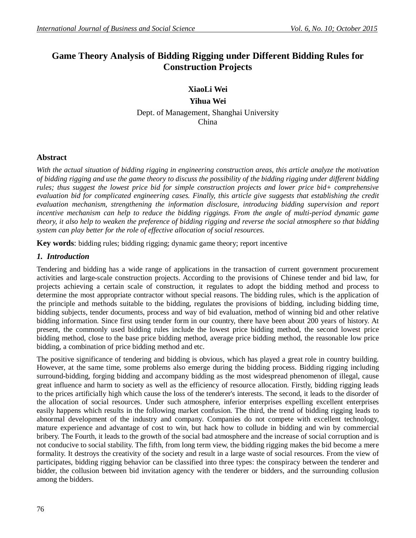# **Game Theory Analysis of Bidding Rigging under Different Bidding Rules for Construction Projects**

# **XiaoLi Wei**

**Yihua Wei** Dept. of Management, Shanghai University China

## **Abstract**

*With the actual situation of bidding rigging in engineering construction areas, this article analyze the motivation of bidding rigging and use the game theory to discuss the possibility of the bidding rigging under different bidding rules; thus suggest the lowest price bid for simple construction projects and lower price bid+ comprehensive evaluation bid for complicated engineering cases. Finally, this article give suggests that establishing the credit evaluation mechanism, strengthening the information disclosure, introducing bidding supervision and report incentive mechanism can help to reduce the bidding riggings. From the angle of multi-period dynamic game theory, it also help to weaken the preference of bidding rigging and reverse the social atmosphere so that bidding system can play better for the role of effective allocation of social resources.*

**Key words**: bidding rules; bidding rigging; dynamic game theory; report incentive

## *1. Introduction*

Tendering and bidding has a wide range of applications in the transaction of current government procurement activities and large-scale construction projects. According to the provisions of Chinese tender and bid law, for projects achieving a certain scale of construction, it regulates to adopt the bidding method and process to determine the most appropriate contractor without special reasons. The bidding rules, which is the application of the principle and methods suitable to the bidding, regulates the provisions of bidding, including bidding time, bidding subjects, tender documents, process and way of bid evaluation, method of winning bid and other relative bidding information. Since first using tender form in our country, there have been about 200 years of history. At present, the commonly used bidding rules include the lowest price bidding method, the second lowest price bidding method, close to the base price bidding method, average price bidding method, the reasonable low price bidding, a combination of price bidding method and etc.

The positive significance of tendering and bidding is obvious, which has played a great role in country building. However, at the same time, some problems also emerge during the bidding process. Bidding rigging including surround-bidding, forging bidding and accompany bidding as the most widespread phenomenon of illegal, cause great influence and harm to society as well as the efficiency of resource allocation. Firstly, bidding rigging leads to the prices artificially high which cause the loss of the tenderer's interests. The second, it leads to the disorder of the allocation of social resources. Under such atmosphere, inferior enterprises expelling excellent enterprises easily happens which results in the following market confusion. The third, the trend of bidding rigging leads to abnormal development of the industry and company. Companies do not compete with excellent technology, mature experience and advantage of cost to win, but hack how to collude in bidding and win by commercial bribery. The Fourth, it leads to the growth of the social bad atmosphere and the increase of social corruption and is not conducive to social stability. The fifth, from long term view, the bidding rigging makes the bid become a mere formality. It destroys the creativity of the society and result in a large waste of social resources. From the view of participates, bidding rigging behavior can be classified into three types: the conspiracy between the tenderer and bidder, the collusion between bid invitation agency with the tenderer or bidders, and the surrounding collusion among the bidders.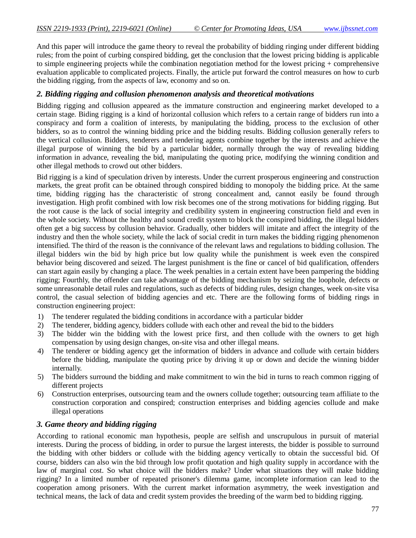And this paper will introduce the game theory to reveal the probability of bidding ringing under different bidding rules; from the point of curbing conspired bidding, get the conclusion that the lowest pricing bidding is applicable to simple engineering projects while the combination negotiation method for the lowest pricing + comprehensive evaluation applicable to complicated projects. Finally, the article put forward the control measures on how to curb the bidding rigging, from the aspects of law, economy and so on.

### *2. Bidding rigging and collusion phenomenon analysis and theoretical motivations*

Bidding rigging and collusion appeared as the immature construction and engineering market developed to a certain stage. Biding rigging is a kind of horizontal collusion which refers to a certain range of bidders run into a conspiracy and form a coalition of interests, by manipulating the bidding, process to the exclusion of other bidders, so as to control the winning bidding price and the bidding results. Bidding collusion generally refers to the vertical collusion. Bidders, tenderers and tendering agents combine together by the interests and achieve the illegal purpose of winning the bid by a particular bidder, normally through the way of revealing bidding information in advance, revealing the bid, manipulating the quoting price, modifying the winning condition and other illegal methods to crowd out other bidders.

Bid rigging is a kind of speculation driven by interests. Under the current prosperous engineering and construction markets, the great profit can be obtained through conspired bidding to monopoly the bidding price. At the same time, bidding rigging has the characteristic of strong concealment and, cannot easily be found through investigation. High profit combined with low risk becomes one of the strong motivations for bidding rigging. But the root cause is the lack of social integrity and credibility system in engineering construction field and even in the whole society. Without the healthy and sound credit system to block the conspired bidding, the illegal bidders often get a big success by collusion behavior. Gradually, other bidders will imitate and affect the integrity of the industry and then the whole society, while the lack of social credit in turn makes the bidding rigging phenomenon intensified. The third of the reason is the connivance of the relevant laws and regulations to bidding collusion. The illegal bidders win the bid by high price but low quality while the punishment is week even the conspired behavior being discovered and seized. The largest punishment is the fine or cancel of bid qualification, offenders can start again easily by changing a place. The week penalties in a certain extent have been pampering the bidding rigging; Fourthly, the offender can take advantage of the bidding mechanism by seizing the loophole, defects or some unreasonable detail rules and regulations, such as defects of bidding rules, design changes, week on-site visa control, the casual selection of bidding agencies and etc. There are the following forms of bidding rings in construction engineering project:

- 1) The tenderer regulated the bidding conditions in accordance with a particular bidder
- 2) The tenderer, bidding agency, bidders collude with each other and reveal the bid to the bidders
- 3) The bidder win the bidding with the lowest price first, and then collude with the owners to get high compensation by using design changes, on-site visa and other illegal means.
- 4) The tenderer or bidding agency get the information of bidders in advance and collude with certain bidders before the bidding, manipulate the quoting price by driving it up or down and decide the winning bidder internally.
- 5) The bidders surround the bidding and make commitment to win the bid in turns to reach common rigging of different projects
- 6) Construction enterprises, outsourcing team and the owners collude together; outsourcing team affiliate to the construction corporation and conspired; construction enterprises and bidding agencies collude and make illegal operations

### *3. Game theory and bidding rigging*

According to rational economic man hypothesis, people are selfish and unscrupulous in pursuit of material interests. During the process of bidding, in order to pursue the largest interests, the bidder is possible to surround the bidding with other bidders or collude with the bidding agency vertically to obtain the successful bid. Of course, bidders can also win the bid through low profit quotation and high quality supply in accordance with the law of marginal cost. So what choice will the bidders make? Under what situations they will make bidding rigging? In a limited number of repeated prisoner's dilemma game, incomplete information can lead to the cooperation among prisoners. With the current market information asymmetry, the week investigation and technical means, the lack of data and credit system provides the breeding of the warm bed to bidding rigging.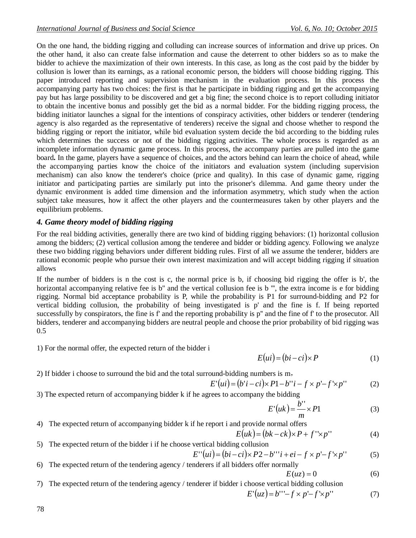On the one hand, the bidding rigging and colluding can increase sources of information and drive up prices. On the other hand, it also can create false information and cause the deterrent to other bidders so as to make the bidder to achieve the maximization of their own interests. In this case, as long as the cost paid by the bidder by collusion is lower than its earnings, as a rational economic person, the bidders will choose bidding rigging. This paper introduced reporting and supervision mechanism in the evaluation process. In this process the accompanying party has two choices: the first is that he participate in bidding rigging and get the accompanying pay but has large possibility to be discovered and get a big fine; the second choice is to report colluding initiator to obtain the incentive bonus and possibly get the bid as a normal bidder. For the bidding rigging process, the bidding initiator launches a signal for the intentions of conspiracy activities, other bidders or tenderer (tendering agency is also regarded as the representative of tenderers) receive the signal and choose whether to respond the bidding rigging or report the initiator, while bid evaluation system decide the bid according to the bidding rules which determines the success or not of the bidding rigging activities. The whole process is regarded as an incomplete information dynamic game process. In this process, the accompany parties are pulled into the game board. In the game, players have a sequence of choices, and the actors behind can learn the choice of ahead, while the accompanying parties know the choice of the initiators and evaluation system (including supervision mechanism) can also know the tenderer's choice (price and quality). In this case of dynamic game, rigging initiator and participating parties are similarly put into the prisoner's dilemma. And game theory under the dynamic environment is added time dimension and the information asymmetry, which study when the action subject take measures, how it affect the other players and the countermeasures taken by other players and the equilibrium problems.

## *4. Game theory model of bidding rigging*

For the real bidding activities, generally there are two kind of bidding rigging behaviors: (1) horizontal collusion among the bidders; (2) vertical collusion among the tenderee and bidder or bidding agency. Following we analyze these two bidding rigging behaviors under different bidding rules. First of all we assume the tenderer, bidders are rational economic people who pursue their own interest maximization and will accept bidding rigging if situation allows

If the number of bidders is n the cost is c, the normal price is b, if choosing bid rigging the offer is b', the horizontal accompanying relative fee is b" and the vertical collusion fee is b "', the extra income is e for bidding rigging. Normal bid acceptance probability is P, while the probability is P1 for surround-bidding and P2 for vertical bidding collusion, the probability of being investigated is p' and the fine is f. If being reported successfully by conspirators, the fine is f' and the reporting probability is p'' and the fine of f' to the prosecutor. All bidders, tenderer and accompanying bidders are neutral people and choose the prior probability of bid rigging was 0.5

1) For the normal offer, the expected return of the bidder i

$$
E(ui) = (bi - ci) \times P \tag{1}
$$

2) If bidder i choose to surround the bid and the total surround-bidding numbers is m,

$$
E'(ui) = (b'i - ci) \times P1 - b''i - f \times p' - f' \times p''
$$
 (2)

3) The expected return of accompanying bidder k if he agrees to accompany the bidding

$$
E'(uk) = \frac{b''}{m} \times P1
$$
 (3)

4) The expected return of accompanying bidder k if he report i and provide normal offers

$$
E\overline{(uk)} = (bk - ck) \times P + f'' \times p''
$$
 (4)

5) The expected return of the bidder i if he choose vertical bidding collusion

$$
E''(ui) = (bi - ci) \times P2 - b'''i + ei - f \times p' - f' \times p''
$$
 (5)

6) The expected return of the tendering agency / tenderers if all bidders offer normally

$$
E(uz) = 0 \tag{6}
$$

7) The expected return of the tendering agency / tenderer if bidder i choose vertical bidding collusion  $E'(uz) = b''' - f \times p' - f' \times p'$  (7)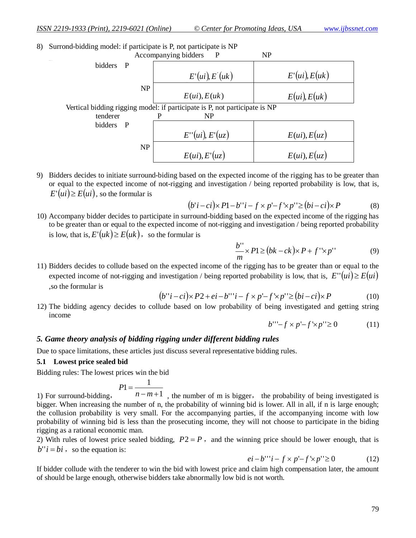8) Surrond-bidding model: if participate is P, not participate is NP



9) Bidders decides to initiate surround-biding based on the expected income of the rigging has to be greater than or equal to the expected income of not-rigging and investigation / being reported probability is low, that is,  $E'(ui) \geq E(ui)$ , so the formular is

$$
(b'i-ci) \times P1-b'i-f \times p'-f' \times p'' \ge (bi-ci) \times P
$$
 (8)

10) Accompany bidder decides to participate in surround-bidding based on the expected income of the rigging has to be greater than or equal to the expected income of not-rigging and investigation / being reported probability is low, that is,  $E'(uk) \ge E(uk)$ , so the formular is

$$
\frac{b''}{m} \times P1 \ge (bk - ck) \times P + f' \times p'' \tag{9}
$$

11) Bidders decides to collude based on the expected income of the rigging has to be greater than or equal to the expected income of not-rigging and investigation / being reported probability is low, that is,  $E''(ui) \ge E(ui)$ ,so the formular is

$$
(b''i - ci) \times P2 + ei - b'''i - f \times p' - f' \times p'' \ge (bi - ci) \times P \tag{10}
$$

12) The bidding agency decides to collude based on low probability of being investigated and getting string income

$$
b^{\prime\prime} - f \times p - f' \times p^{\prime\prime} \ge 0 \tag{11}
$$

#### *5. Game theory analysis of bidding rigging under different bidding rules*

Due to space limitations, these articles just discuss several representative bidding rules.

#### **5.1 Lowest price sealed bid**

Bidding rules: The lowest prices win the bid

$$
P1 = \frac{1}{\cdots}
$$

1) For surround-bidding, 1  $n-m+1$ , the number of m is bigger, the probability of being investigated is bigger. When increasing the number of n, the probability of winning bid is lower. All in all, if n is large enough; the collusion probability is very small. For the accompanying parties, if the accompanying income with low probability of winning bid is less than the prosecuting income, they will not choose to participate in the biding rigging as a rational economic man.

2) With rules of lowest price sealed bidding,  $P2 = P$ , and the winning price should be lower enough, that is  $b''$ *i* = *bi* , so the equation is:

$$
ei - b'''i - f \times p' - f' \times p'' \ge 0 \tag{12}
$$

If bidder collude with the tenderer to win the bid with lowest price and claim high compensation later, the amount of should be large enough, otherwise bidders take abnormally low bid is not worth.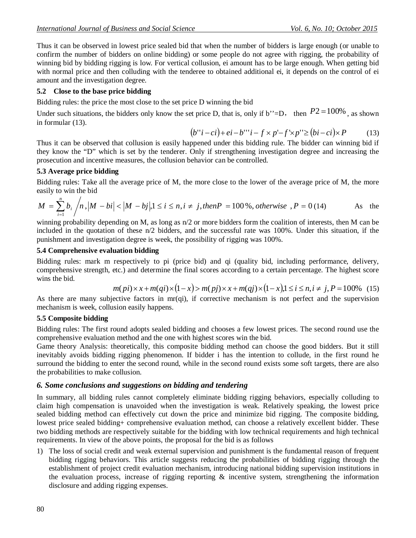Thus it can be observed in lowest price sealed bid that when the number of bidders is large enough (or unable to confirm the number of bidders on online bidding) or some people do not agree with rigging, the probability of winning bid by bidding rigging is low. For vertical collusion, ei amount has to be large enough. When getting bid with normal price and then colluding with the tenderee to obtained additional ei, it depends on the control of ei amount and the investigation degree.

# **5.2 Close to the base price bidding**

Bidding rules: the price the most close to the set price D winning the bid

Under such situations, the bidders only know the set price D, that is, only if b''=D, then  $P2 = 100\%$ , as shown in formular (13).

$$
(b''i - ci) + ei - b'''i - f \times p' - f' \times p'' \ge (bi - ci) \times P \tag{13}
$$

Thus it can be observed that collusion is easily happened under this bidding rule. The bidder can winning bid if they know the "D" which is set by the tenderer. Only if strengthening investigation degree and increasing the prosecution and incentive measures, the collusion behavior can be controlled.

# **5.3 Average price bidding**

Bidding rules: Take all the average price of M, the more close to the lower of the average price of M, the more easily to win the bid

$$
M = \sum_{i=1}^{n} b_i / n, |M - bi| < |M - bj|, 1 \le i \le n, i \ne j, then P = 100\%, otherwise, P = 0 (14)
$$
 As the

winning probability depending on M, as long as  $n/2$  or more bidders form the coalition of interests, then M can be included in the quotation of these n/2 bidders, and the successful rate was 100%. Under this situation, if the punishment and investigation degree is week, the possibility of rigging was 100%.

# **5.4 Comprehensive evaluation bidding**

Bidding rules: mark m respectively to pi (price bid) and qi (quality bid, including performance, delivery, comprehensive strength, etc.) and determine the final scores according to a certain percentage. The highest score wins the bid.

$$
m(pi) \times x + m(qi) \times (1-x) > m(pj) \times x + m(qj) \times (1-x), 1 \le i \le n, i \ne j, P = 100\% \quad (15)
$$

As there are many subjective factors in mr(qi), if corrective mechanism is not perfect and the supervision mechanism is week, collusion easily happens.

# **5.5 Composite bidding**

Bidding rules: The first round adopts sealed bidding and chooses a few lowest prices. The second round use the comprehensive evaluation method and the one with highest scores win the bid.

Game theory Analysis: theoretically, this composite bidding method can choose the good bidders. But it still inevitably avoids bidding rigging phenomenon. If bidder i has the intention to collude, in the first round he surround the bidding to enter the second round, while in the second round exists some soft targets, there are also the probabilities to make collusion.

# *6. Some conclusions and suggestions on bidding and tendering*

In summary, all bidding rules cannot completely eliminate bidding rigging behaviors, especially colluding to claim high compensation is unavoided when the investigation is weak. Relatively speaking, the lowest price sealed bidding method can effectively cut down the price and minimize bid rigging. The composite bidding, lowest price sealed bidding+ comprehensive evaluation method, can choose a relatively excellent bidder. These two bidding methods are respectively suitable for the bidding with low technical requirements and high technical requirements. In view of the above points, the proposal for the bid is as follows

1) The loss of social credit and weak external supervision and punishment is the fundamental reason of frequent bidding rigging behaviors. This article suggests reducing the probabilities of bidding rigging through the establishment of project credit evaluation mechanism, introducing national bidding supervision institutions in the evaluation process, increase of rigging reporting & incentive system, strengthening the information disclosure and adding rigging expenses.